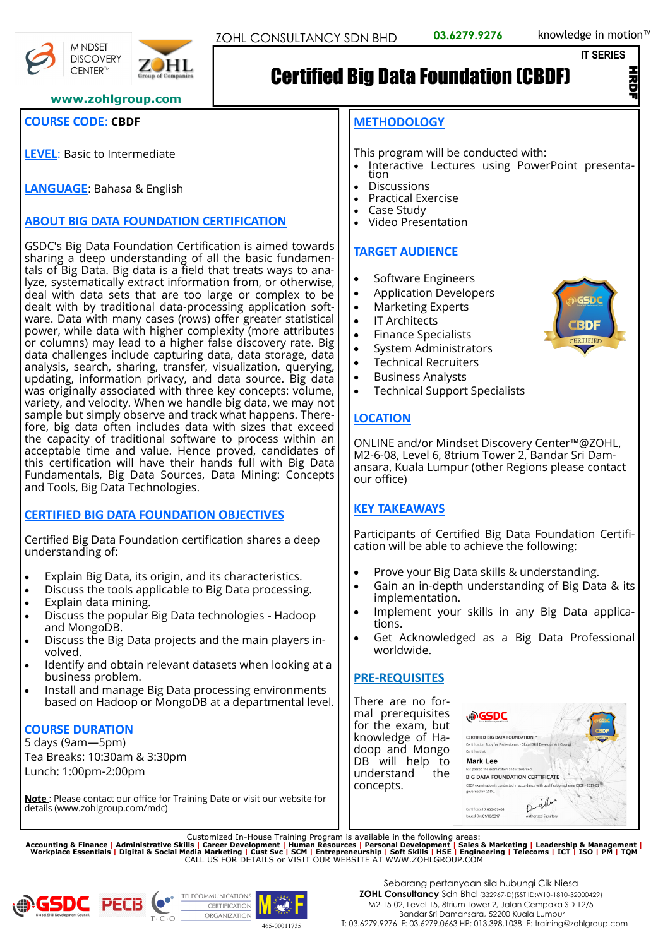**IT SERIES**

マ<br>D

#### **www.zohlgroup.com**

## **COURSE CODE**: **CBDF**

**MINDSET DISCOVERY** CENTER™

**LEVEL**: Basic to Intermediate

**LANGUAGE**: Bahasa & English

# **ABOUT BIG DATA FOUNDATION CERTIFICATION**

GSDC's Big Data Foundation Certification is aimed towards sharing a deep understanding of all the basic fundamentals of Big Data. Big data is a field that treats ways to analyze, systematically extract information from, or otherwise, deal with data sets that are too large or complex to be dealt with by traditional data-processing application software. Data with many cases (rows) offer greater statistical power, while data with higher complexity (more attributes or columns) may lead to a higher false discovery rate. Big data challenges include capturing data, data storage, data analysis, search, sharing, transfer, visualization, querying, updating, information privacy, and data source. Big data was originally associated with three key concepts: volume, variety, and velocity. When we handle big data, we may not sample but simply observe and track what happens. Therefore, big data often includes data with sizes that exceed the capacity of traditional software to process within an acceptable time and value. Hence proved, candidates of this certification will have their hands full with Big Data Fundamentals, Big Data Sources, Data Mining: Concepts and Tools, Big Data Technologies.

# **CERTIFIED BIG DATA FOUNDATION OBJECTIVES**

Certified Big Data Foundation certification shares a deep understanding of:

- Explain Big Data, its origin, and its characteristics.
- Discuss the tools applicable to Big Data processing. • Explain data mining.
- 
- Discuss the popular Big Data technologies Hadoop and MongoDB.
- Discuss the Big Data projects and the main players involved.
- Identify and obtain relevant datasets when looking at a business problem.
- Install and manage Big Data processing environments based on Hadoop or MongoDB at a departmental level.

# **COURSE DURATION**

5 days (9am—5pm) Tea Breaks: 10:30am & 3:30pm Lunch: 1:00pm-2:00pm

**Note** : Please contact our office for Training Date or visit our website for details (www.zohlgroup.com/mdc)

#### **METHODOLOGY**

This program will be conducted with:

- Interactive Lectures using PowerPoint presentation
- Discussions
- Practical Exercise
- Case Study
- Video Presentation

#### **TARGET AUDIENCE**

- Software Engineers
- Application Developers
- Marketing Experts
- IT Architects
- Finance Specialists
- System Administrators
- Technical Recruiters
- Business Analysts
- Technical Support Specialists

#### **LOCATION**

ONLINE and/or Mindset Discovery Center™@ZOHL, M2-6-08, Level 6, 8trium Tower 2, Bandar Sri Damansara, Kuala Lumpur (other Regions please contact our office)

#### **KEY TAKEAWAYS**

Participants of Certified Big Data Foundation Certification will be able to achieve the following:

- Prove your Big Data skills & understanding.
- Gain an in-depth understanding of Big Data & its implementation.
- Implement your skills in any Big Data applications.
- Get Acknowledged as a Big Data Professional worldwide.

#### **PRE-REQUISITES**

There are no formal prerequisites for the exam, but knowledge of Hadoop and Mongo DB will help to<br>understand the understand concepts.

| GSDC                                                                    |                                                                                      |
|-------------------------------------------------------------------------|--------------------------------------------------------------------------------------|
| CERTIFIED BIG DATA FOUNDATION ™                                         | <b>CBDF</b><br>CERTIFIED                                                             |
| Certification Body for Professionals - Global Skill Development Council |                                                                                      |
| Certifies that                                                          |                                                                                      |
| <b>Mark Lee</b>                                                         |                                                                                      |
| has passed the examination and is awarded                               |                                                                                      |
| <b>BIG DATA FOUNDATION CERTIFICATE</b>                                  |                                                                                      |
| governed by GSDC.                                                       | CBDF examination is conducted in accordance with qualification scheme CBDF - 2017-01 |
| Certificate ID:656467464                                                | Dund, New                                                                            |
| Issued On: 01/10/2017                                                   | Authorised Signatory                                                                 |

Customized In-House Training Program is available in the following areas:<br>Accounting & Finance | Administrative Skills | Career Development | Human Resources | Personal Development | Sales & Marketing | Leadership & Manag







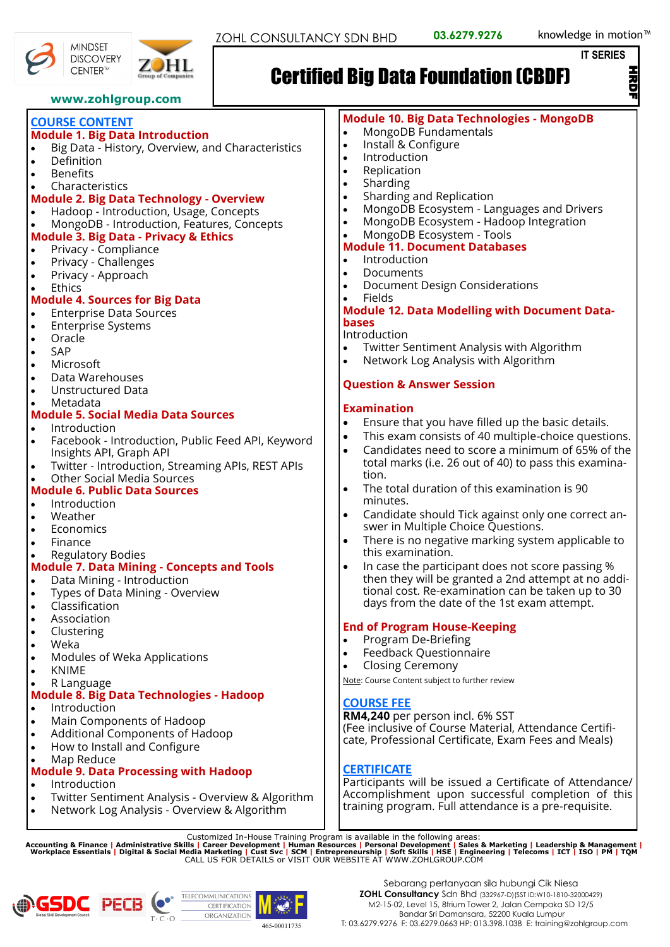**IT SERIES**

HRDF

**MINDSET** 

# Certified Big Data Foundation (CBDF)

- **www.zohlgroup.com COURSE CONTENT Module 1. Big Data Introduction** • Big Data - History, Overview, and Characteristics **Definition Benefits Characteristics Module 2. Big Data Technology - Overview** • Hadoop - Introduction, Usage, Concepts • MongoDB - Introduction, Features, Concepts **Module 3. Big Data - Privacy & Ethics** • Privacy - Compliance • Privacy - Challenges • Privacy - Approach **Ethics Module 4. Sources for Big Data** • Enterprise Data Sources **Enterprise Systems** • Oracle • SAP **Microsoft** • Data Warehouses • Unstructured Data • Metadata **Module 5. Social Media Data Sources Introduction** • Facebook - Introduction, Public Feed API, Keyword Insights API, Graph API • Twitter - Introduction, Streaming APIs, REST APIs • Other Social Media Sources **Module 6. Public Data Sources Introduction** • Weather **Economics Finance** • Regulatory Bodies **Module 7. Data Mining - Concepts and Tools** • Data Mining - Introduction • Types of Data Mining - Overview • Classification **Association Clustering** • Weka • Modules of Weka Applications • KNIME • R Language **Module 8. Big Data Technologies - Hadoop Introduction** • Main Components of Hadoop • Additional Components of Hadoop • How to Install and Configure • Map Reduce **Module 9. Data Processing with Hadoop Introduction** • Twitter Sentiment Analysis - Overview & Algorithm • Network Log Analysis - Overview & Algorithm • Replication • Sharding **Documents** • Fields **bases** Introduction **Examination** tion. minutes. **COURSE FEE CERTIFICATE** training program. Full attendance is a pre-requisite. Customized In-House Training Program is available in the following areas:<br>Accounting & Finance | Administrative Skills | Career Development | Human Resources | Personal Development | Sales & Marketing | Leadership & Manag
-